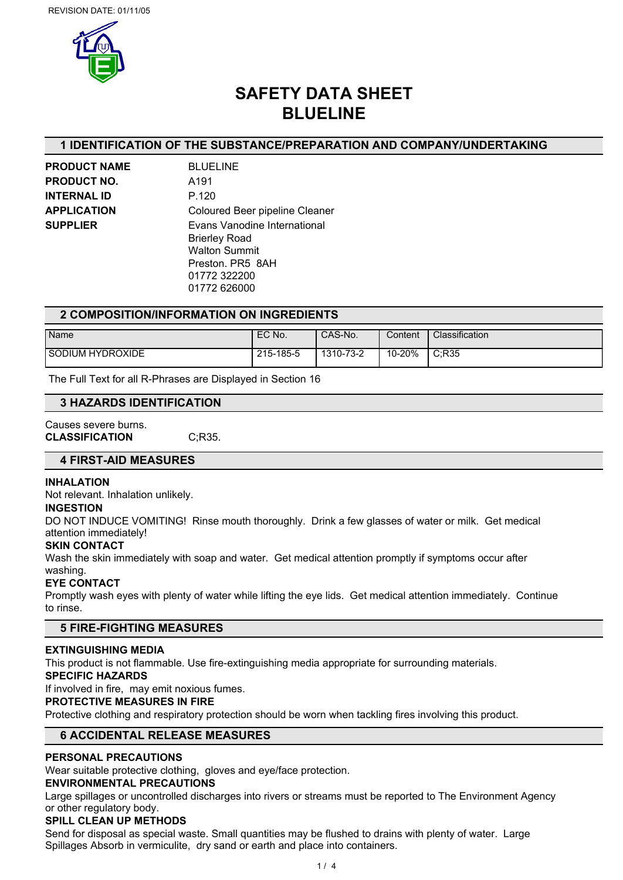

# **SAFETY DATA SHEET BLUELINE**

# **1 IDENTIFICATION OF THE SUBSTANCE/PREPARATION AND COMPANY/UNDERTAKING**

**PRODUCT NAME** BLUELINE **PRODUCT NO.** A191 **INTERNAL ID** P.120

**APPLICATION** Coloured Beer pipeline Cleaner **SUPPLIER** Evans Vanodine International Brierley Road Walton Summit Preston. PR5 8AH 01772 322200 01772 626000

# **2 COMPOSITION/INFORMATION ON INGREDIENTS**

| Name                    | EC No.    | CAS-No.   | Content | Classification |
|-------------------------|-----------|-----------|---------|----------------|
|                         |           |           |         |                |
| <b>SODIUM HYDROXIDE</b> | 215-185-5 | 1310-73-2 | 10-20%  | C:R35          |

The Full Text for all R-Phrases are Displayed in Section 16

#### **3 HAZARDS IDENTIFICATION**

#### Causes severe burns. **CLASSIFICATION** C;R35.

## **4 FIRST-AID MEASURES**

#### **INHALATION**

Not relevant. Inhalation unlikely.

#### **INGESTION**

DO NOT INDUCE VOMITING! Rinse mouth thoroughly. Drink a few glasses of water or milk. Get medical attention immediately!

#### **SKIN CONTACT**

Wash the skin immediately with soap and water. Get medical attention promptly if symptoms occur after washing.

#### **EYE CONTACT**

Promptly wash eyes with plenty of water while lifting the eye lids. Get medical attention immediately. Continue to rinse.

# **5 FIRE-FIGHTING MEASURES**

#### **EXTINGUISHING MEDIA**

This product is not flammable. Use fire-extinguishing media appropriate for surrounding materials.

#### **SPECIFIC HAZARDS**

If involved in fire, may emit noxious fumes.

#### **PROTECTIVE MEASURES IN FIRE**

Protective clothing and respiratory protection should be worn when tackling fires involving this product.

## **6 ACCIDENTAL RELEASE MEASURES**

## **PERSONAL PRECAUTIONS**

Wear suitable protective clothing, gloves and eye/face protection.

# **ENVIRONMENTAL PRECAUTIONS**

Large spillages or uncontrolled discharges into rivers or streams must be reported to The Environment Agency or other regulatory body.

# **SPILL CLEAN UP METHODS**

Send for disposal as special waste. Small quantities may be flushed to drains with plenty of water. Large Spillages Absorb in vermiculite, dry sand or earth and place into containers.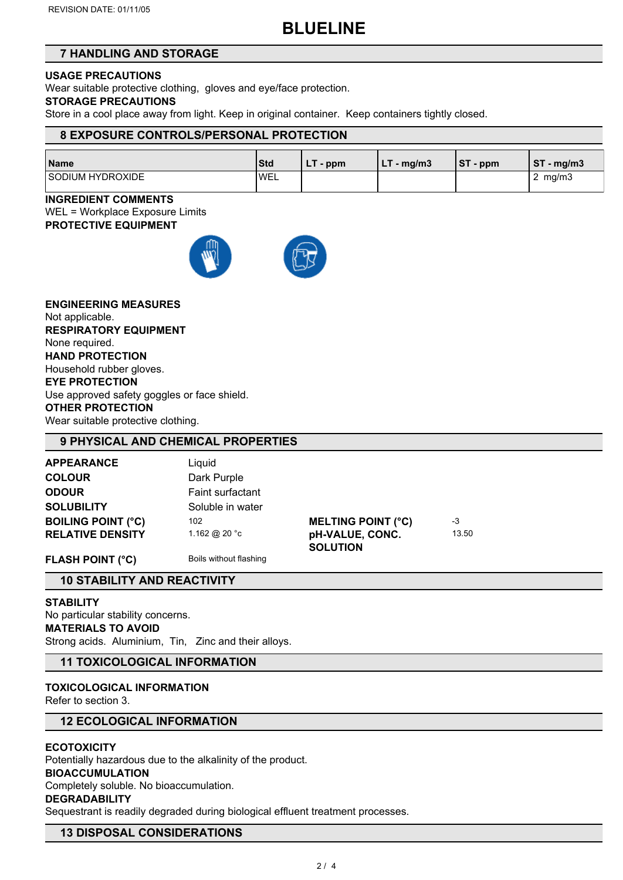# **BLUELINE**

# **7 HANDLING AND STORAGE**

# **USAGE PRECAUTIONS**

Wear suitable protective clothing, gloves and eye/face protection.

# **STORAGE PRECAUTIONS**

Store in a cool place away from light. Keep in original container. Keep containers tightly closed.

# **8 EXPOSURE CONTROLS/PERSONAL PROTECTION**

| Name             | Std          | - ppm<br><b>LI</b> | $-$ mg/m3<br>. | IST<br>- ppm | <b>CT</b><br>' - mg/m3<br>১। |
|------------------|--------------|--------------------|----------------|--------------|------------------------------|
| SODIUM HYDROXIDE | <b>I</b> WEL |                    |                |              | mg/m3<br>_                   |

# **INGREDIENT COMMENTS**

WEL = Workplace Exposure Limits **PROTECTIVE EQUIPMENT**



**ENGINEERING MEASURES** Not applicable. **RESPIRATORY EQUIPMENT** None required. **HAND PROTECTION** Household rubber gloves. **EYE PROTECTION** Use approved safety goggles or face shield. **OTHER PROTECTION** Wear suitable protective clothing.

# **9 PHYSICAL AND CHEMICAL PROPERTIES**

| <b>APPEARANCE</b>         | Liguid           |                           |       |  |
|---------------------------|------------------|---------------------------|-------|--|
| <b>COLOUR</b>             | Dark Purple      |                           |       |  |
| <b>ODOUR</b>              | Faint surfactant |                           |       |  |
| <b>SOLUBILITY</b>         | Soluble in water |                           |       |  |
| <b>BOILING POINT (°C)</b> | 102              | <b>MELTING POINT (°C)</b> | -3    |  |
| <b>RELATIVE DENSITY</b>   | 1.162 @ 20 °c    | pH-VALUE, CONC.           | 13.50 |  |
|                           |                  | <b>SOLUTION</b>           |       |  |

**FLASH POINT (°C)** Boils without flashing

# **10 STABILITY AND REACTIVITY**

## **STABILITY**

No particular stability concerns. **MATERIALS TO AVOID** Strong acids. Aluminium, Tin, Zinc and their alloys.

# **11 TOXICOLOGICAL INFORMATION**

# **TOXICOLOGICAL INFORMATION**

Refer to section 3.

## **12 ECOLOGICAL INFORMATION**

## **ECOTOXICITY**

Potentially hazardous due to the alkalinity of the product.

## **BIOACCUMULATION**

Completely soluble. No bioaccumulation.

## **DEGRADABILITY**

Sequestrant is readily degraded during biological effluent treatment processes.

## **13 DISPOSAL CONSIDERATIONS**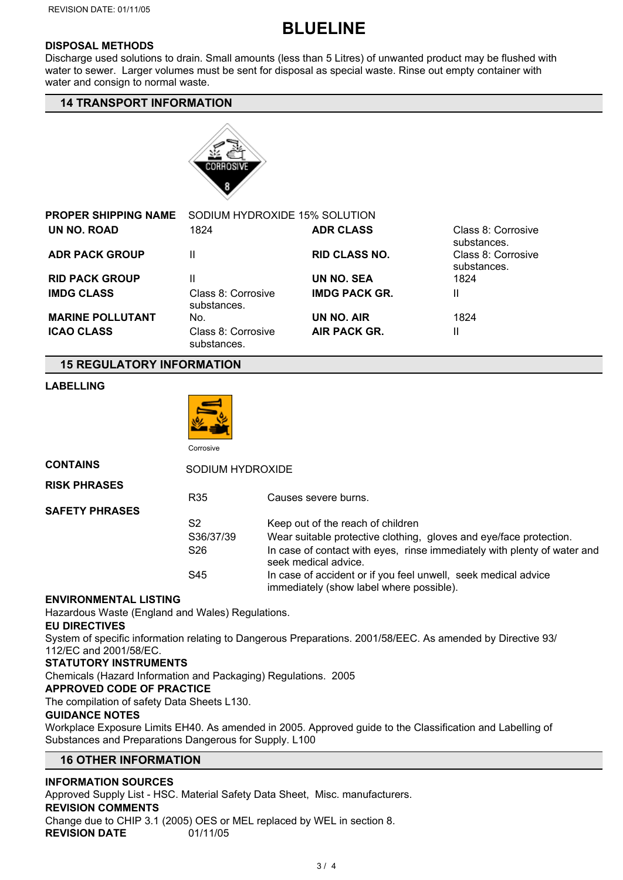# **BLUELINE**

# **DISPOSAL METHODS**

Discharge used solutions to drain. Small amounts (less than 5 Litres) of unwanted product may be flushed with water to sewer. Larger volumes must be sent for disposal as special waste. Rinse out empty container with water and consign to normal waste.

# **14 TRANSPORT INFORMATION**



| PROPER SHIPPING NAME    | SODIUM HYDROXIDE 15% SOLUTION     |                      |                                   |
|-------------------------|-----------------------------------|----------------------|-----------------------------------|
| UN NO. ROAD             | 1824                              | <b>ADR CLASS</b>     | Class 8: Corrosive<br>substances. |
| <b>ADR PACK GROUP</b>   |                                   | <b>RID CLASS NO.</b> | Class 8: Corrosive<br>substances. |
| <b>RID PACK GROUP</b>   |                                   | UN NO. SEA           | 1824                              |
| <b>IMDG CLASS</b>       | Class 8: Corrosive<br>substances. | <b>IMDG PACK GR.</b> | Ш                                 |
| <b>MARINE POLLUTANT</b> | No.                               | UN NO. AIR           | 1824                              |
| <b>ICAO CLASS</b>       | Class 8: Corrosive<br>substances. | AIR PACK GR.         | Ш                                 |

## **15 REGULATORY INFORMATION**

# **LABELLING**



| <b>CONTAINS</b>       |                 | SODIUM HYDROXIDE                                                                                           |  |  |  |
|-----------------------|-----------------|------------------------------------------------------------------------------------------------------------|--|--|--|
| <b>RISK PHRASES</b>   |                 |                                                                                                            |  |  |  |
|                       | R <sub>35</sub> | Causes severe burns.                                                                                       |  |  |  |
| <b>SAFETY PHRASES</b> |                 |                                                                                                            |  |  |  |
|                       | S <sub>2</sub>  | Keep out of the reach of children                                                                          |  |  |  |
|                       | S36/37/39       | Wear suitable protective clothing, gloves and eye/face protection.                                         |  |  |  |
|                       | S <sub>26</sub> | In case of contact with eyes, rinse immediately with plenty of water and<br>seek medical advice.           |  |  |  |
|                       | S45             | In case of accident or if you feel unwell, seek medical advice<br>immediately (show label where possible). |  |  |  |

## **ENVIRONMENTAL LISTING**

Hazardous Waste (England and Wales) Regulations.

## **EU DIRECTIVES**

System of specific information relating to Dangerous Preparations. 2001/58/EEC. As amended by Directive 93/ 112/EC and 2001/58/EC.

## **STATUTORY INSTRUMENTS**

Chemicals (Hazard Information and Packaging) Regulations. 2005

## **APPROVED CODE OF PRACTICE**

The compilation of safety Data Sheets L130.

## **GUIDANCE NOTES**

Workplace Exposure Limits EH40. As amended in 2005. Approved guide to the Classification and Labelling of Substances and Preparations Dangerous for Supply. L100

# **16 OTHER INFORMATION**

## **INFORMATION SOURCES**

Approved Supply List - HSC. Material Safety Data Sheet, Misc. manufacturers. **REVISION COMMENTS** Change due to CHIP 3.1 (2005) OES or MEL replaced by WEL in section 8. **REVISION DATE** 01/11/05